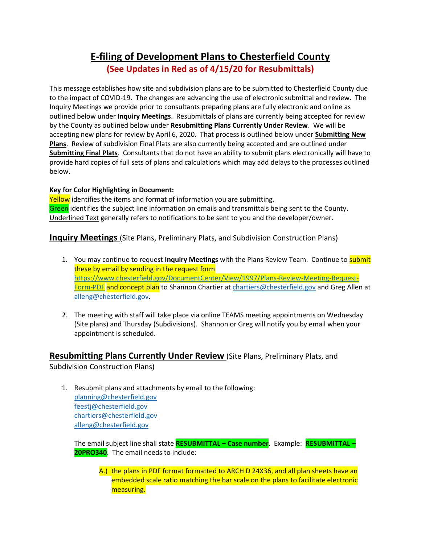## **E-filing of Development Plans to Chesterfield County (See Updates in Red as of 4/15/20 for Resubmittals)**

This message establishes how site and subdivision plans are to be submitted to Chesterfield County due to the impact of COVID-19. The changes are advancing the use of electronic submittal and review. The Inquiry Meetings we provide prior to consultants preparing plans are fully electronic and online as outlined below under **Inquiry Meetings**. Resubmittals of plans are currently being accepted for review by the County as outlined below under **Resubmitting Plans Currently Under Review**. We will be accepting new plans for review by April 6, 2020. That process is outlined below under **Submitting New Plans**. Review of subdivision Final Plats are also currently being accepted and are outlined under **Submitting Final Plats**. Consultants that do not have an ability to submit plans electronically will have to provide hard copies of full sets of plans and calculations which may add delays to the processes outlined below.

## **Key for Color Highlighting in Document:**

Yellow identifies the items and format of information you are submitting. Green identifies the subject line information on emails and transmittals being sent to the County. Underlined Text generally refers to notifications to be sent to you and the developer/owner.

**Inquiry Meetings** (Site Plans, Preliminary Plats, and Subdivision Construction Plans)

- 1. You may continue to request **Inquiry Meetings** with the Plans Review Team. Continue to submit these by email by sending in the request form [https://www.chesterfield.gov/DocumentCenter/View/1997/Plans-Review-Meeting-Request-](https://www.chesterfield.gov/DocumentCenter/View/1997/Plans-Review-Meeting-Request-Form-PDF)[Form-PDF](https://www.chesterfield.gov/DocumentCenter/View/1997/Plans-Review-Meeting-Request-Form-PDF) and concept plan to Shannon Chartier at [chartiers@chesterfield.gov](mailto:chartiers@chesterfield.gov) and Greg Allen at [alleng@chesterfield.gov.](mailto:alleng@chesterfield.gov)
- 2. The meeting with staff will take place via online TEAMS meeting appointments on Wednesday (Site plans) and Thursday (Subdivisions). Shannon or Greg will notify you by email when your appointment is scheduled.

**Resubmitting Plans Currently Under Review** (Site Plans, Preliminary Plats, and Subdivision Construction Plans)

1. Resubmit plans and attachments by email to the following: [planning@chesterfield.gov](mailto:planning@chesterfield.gov) [feestj@chesterfield.gov](mailto:feestj@chesterfield.gov) [chartiers@chesterfield.gov](mailto:chartiers@chesterfield.gov) [alleng@chesterfield.gov](mailto:alleng@chesterfield.gov)

The email subject line shall state **RESUBMITTAL – Case number**. Example: **RESUBMITTAL – 20PRO340**. The email needs to include:

A.) the plans in PDF format formatted to ARCH D 24X36, and all plan sheets have an embedded scale ratio matching the bar scale on the plans to facilitate electronic measuring.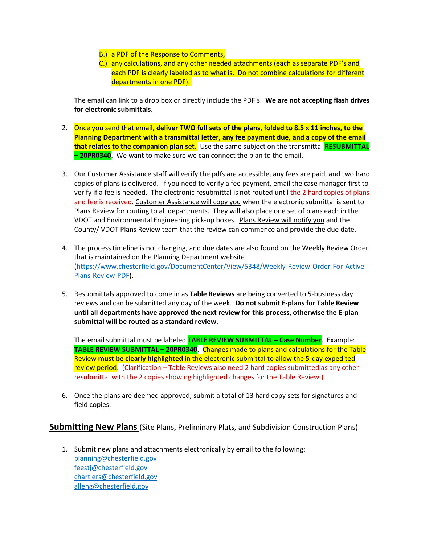- B.) a PDF of the Response to Comments,
- C.) any calculations, and any other needed attachments (each as separate PDF's and each PDF is clearly labeled as to what is. Do not combine calculations for different departments in one PDF).

The email can link to a drop box or directly include the PDF's. **We are not accepting flash drives for electronic submittals.**

- 2. Once you send that email**, deliver TWO full sets of the plans, folded to 8.5 x 11 inches, to the Planning Department with a transmittal letter, any fee payment due, and a copy of the email that relates to the companion plan set**. Use the same subject on the transmittal **RESUBMITTAL – 20PR0340**. We want to make sure we can connect the plan to the email.
- 3. Our Customer Assistance staff will verify the pdfs are accessible, any fees are paid, and two hard copies of plans is delivered. If you need to verify a fee payment, email the case manager first to verify if a fee is needed. The electronic resubmittal is not routed until the 2 hard copies of plans and fee is received. Customer Assistance will copy you when the electronic submittal is sent to Plans Review for routing to all departments. They will also place one set of plans each in the VDOT and Environmental Engineering pick-up boxes. Plans Review will notify you and the County/ VDOT Plans Review team that the review can commence and provide the due date.
- 4. The process timeline is not changing, and due dates are also found on the Weekly Review Order that is maintained on the Planning Department website [\(https://www.chesterfield.gov/DocumentCenter/View/5348/Weekly-Review-Order-For-Active-](https://www.chesterfield.gov/DocumentCenter/View/5348/Weekly-Review-Order-For-Active-Plans-Review-PDF)[Plans-Review-PDF\)](https://www.chesterfield.gov/DocumentCenter/View/5348/Weekly-Review-Order-For-Active-Plans-Review-PDF).
- 5. Resubmittals approved to come in as **Table Reviews** are being converted to 5-business day reviews and can be submitted any day of the week. **Do not submit E-plans for Table Review until all departments have approved the next review for this process, otherwise the E-plan submittal will be routed as a standard review.**

The email submittal must be labeled **TABLE REVIEW SUBMITTAL – Case Number**. Example: **TABLE REVIEW SUBMITTAL – 20PR0340**. Changes made to plans and calculations for the Table Review **must be clearly highlighted** in the electronic submittal to allow the 5-day expedited review period. (Clarification – Table Reviews also need 2 hard copies submitted as any other resubmittal with the 2 copies showing highlighted changes for the Table Review.)

6. Once the plans are deemed approved, submit a total of 13 hard copy sets for signatures and field copies.

**Submitting New Plans** (Site Plans, Preliminary Plats, and Subdivision Construction Plans)

1. Submit new plans and attachments electronically by email to the following: [planning@chesterfield.gov](mailto:planning@chesterfield.gov) [feestj@chesterfield.gov](mailto:feestj@chesterfield.gov) [chartiers@chesterfield.gov](mailto:chartiers@chesterfield.gov) [alleng@chesterfield.gov](mailto:alleng@chesterfield.gov)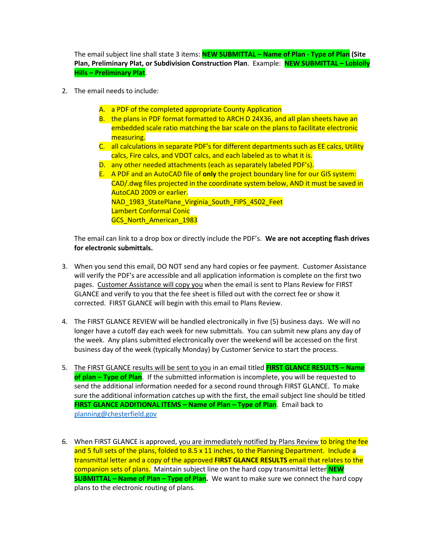The email subject line shall state 3 items: **NEW SUBMITTAL – Name of Plan - Type of Plan (Site Plan, Preliminary Plat, or Subdivision Construction Plan**. Example: **NEW SUBMITTAL – Loblolly Hills – Preliminary Plat**.

- 2. The email needs to include:
	- A. a PDF of the completed appropriate County Application
	- B. the plans in PDF format formatted to ARCH D 24X36, and all plan sheets have an embedded scale ratio matching the bar scale on the plans to facilitate electronic measuring.
	- C. all calculations in separate PDF's for different departments such as EE calcs, Utility calcs, Fire calcs, and VDOT calcs, and each labeled as to what it is.
	- D. any other needed attachments (each as separately labeled PDF's).
	- E. A PDF and an AutoCAD file of **only** the project boundary line for our GIS system: CAD/.dwg files projected in the coordinate system below, AND it must be saved in AutoCAD 2009 or earlier. NAD 1983 StatePlane Virginia South FIPS 4502 Feet Lambert Conformal Conic GCS North American 1983

The email can link to a drop box or directly include the PDF's. **We are not accepting flash drives for electronic submittals.** 

- 3. When you send this email, DO NOT send any hard copies or fee payment. Customer Assistance will verify the PDF's are accessible and all application information is complete on the first two pages. Customer Assistance will copy you when the email is sent to Plans Review for FIRST GLANCE and verify to you that the fee sheet is filled out with the correct fee or show it corrected. FIRST GLANCE will begin with this email to Plans Review.
- 4. The FIRST GLANCE REVIEW will be handled electronically in five (5) business days. We will no longer have a cutoff day each week for new submittals. You can submit new plans any day of the week. Any plans submitted electronically over the weekend will be accessed on the first business day of the week (typically Monday) by Customer Service to start the process.
- 5. The FIRST GLANCE results will be sent to you in an email titled **FIRST GLANCE RESULTS – Name of plan – Type of Plan**. If the submitted information is incomplete, you will be requested to send the additional information needed for a second round through FIRST GLANCE. To make sure the additional information catches up with the first, the email subject line should be titled **FIRST GLANCE ADDITIONAL ITEMS – Name of Plan – Type of Plan**. Email back to [planning@chesterfield.gov](mailto:planning@chesterfield.gov)
- 6. When FIRST GLANCE is approved, you are immediately notified by Plans Review to bring the fee and 5 full sets of the plans, folded to 8.5 x 11 inches, to the Planning Department. Include a transmittal letter and a copy of the approved **FIRST GLANCE RESULTS** email that relates to the companion sets of plans. Maintain subject line on the hard copy transmittal letter **NEW SUBMITTAL – Name of Plan – Type of Plan.** We want to make sure we connect the hard copy plans to the electronic routing of plans.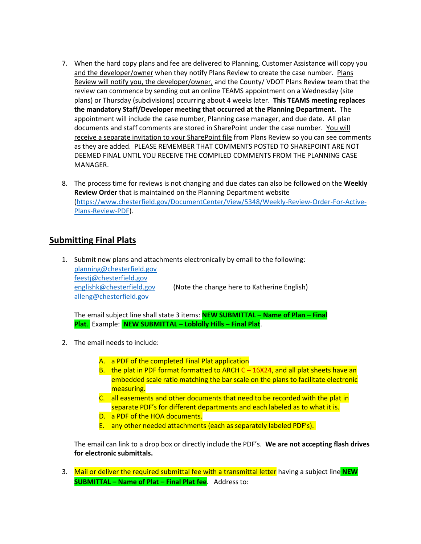- 7. When the hard copy plans and fee are delivered to Planning, Customer Assistance will copy you and the developer/owner when they notify Plans Review to create the case number. Plans Review will notify you, the developer/owner, and the County/ VDOT Plans Review team that the review can commence by sending out an online TEAMS appointment on a Wednesday (site plans) or Thursday (subdivisions) occurring about 4 weeks later. **This TEAMS meeting replaces the mandatory Staff/Developer meeting that occurred at the Planning Department.** The appointment will include the case number, Planning case manager, and due date. All plan documents and staff comments are stored in SharePoint under the case number. You will receive a separate invitation to your SharePoint file from Plans Review so you can see comments as they are added. PLEASE REMEMBER THAT COMMENTS POSTED TO SHAREPOINT ARE NOT DEEMED FINAL UNTIL YOU RECEIVE THE COMPILED COMMENTS FROM THE PLANNING CASE MANAGER.
- 8. The process time for reviews is not changing and due dates can also be followed on the **Weekly Review Order** that is maintained on the Planning Department website [\(https://www.chesterfield.gov/DocumentCenter/View/5348/Weekly-Review-Order-For-Active-](https://www.chesterfield.gov/DocumentCenter/View/5348/Weekly-Review-Order-For-Active-Plans-Review-PDF)[Plans-Review-PDF\)](https://www.chesterfield.gov/DocumentCenter/View/5348/Weekly-Review-Order-For-Active-Plans-Review-PDF).

## **Submitting Final Plats**

1. Submit new plans and attachments electronically by email to the following: [planning@chesterfield.gov](mailto:planning@chesterfield.gov) [feestj@chesterfield.gov](mailto:feestj@chesterfield.gov) [englishk@chesterfield.gov](mailto:englishk@chesterfield.gov) (Note the change here to Katherine English) [alleng@chesterfield.gov](mailto:alleng@chesterfield.gov)

The email subject line shall state 3 items: **NEW SUBMITTAL – Name of Plan – Final Plat**. Example: **NEW SUBMITTAL – Loblolly Hills – Final Plat**.

- 2. The email needs to include:
	- A. a PDF of the completed Final Plat application
	- B. the plat in PDF format formatted to ARCH C 16X24, and all plat sheets have an embedded scale ratio matching the bar scale on the plans to facilitate electronic measuring.
	- C. all easements and other documents that need to be recorded with the plat in separate PDF's for different departments and each labeled as to what it is.
	- D. a PDF of the HOA documents.
	- E. any other needed attachments (each as separately labeled PDF's).

The email can link to a drop box or directly include the PDF's. **We are not accepting flash drives for electronic submittals.** 

3. Mail or deliver the required submittal fee with a transmittal letter having a subject line **NEW SUBMITTAL – Name of Plat – Final Plat fee**. Address to: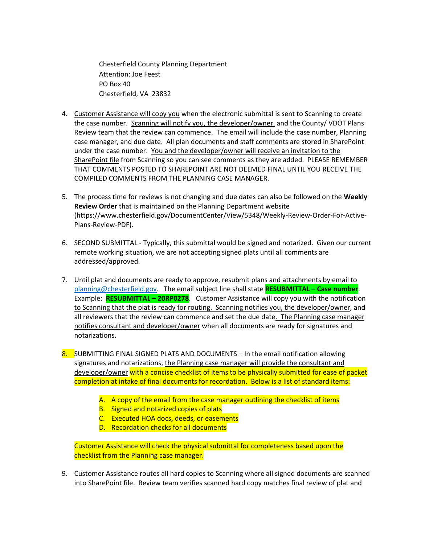Chesterfield County Planning Department Attention: Joe Feest PO Box 40 Chesterfield, VA 23832

- 4. Customer Assistance will copy you when the electronic submittal is sent to Scanning to create the case number. Scanning will notify you, the developer/owner, and the County/ VDOT Plans Review team that the review can commence. The email will include the case number, Planning case manager, and due date. All plan documents and staff comments are stored in SharePoint under the case number. You and the developer/owner will receive an invitation to the SharePoint file from Scanning so you can see comments as they are added. PLEASE REMEMBER THAT COMMENTS POSTED TO SHAREPOINT ARE NOT DEEMED FINAL UNTIL YOU RECEIVE THE COMPILED COMMENTS FROM THE PLANNING CASE MANAGER.
- 5. The process time for reviews is not changing and due dates can also be followed on the **Weekly Review Order** that is maintained on the Planning Department website (https://www.chesterfield.gov/DocumentCenter/View/5348/Weekly-Review-Order-For-Active-Plans-Review-PDF).
- 6. SECOND SUBMITTAL Typically, this submittal would be signed and notarized. Given our current remote working situation, we are not accepting signed plats until all comments are addressed/approved.
- 7. Until plat and documents are ready to approve, resubmit plans and attachments by email to [planning@chesterfield.gov.](mailto:planning@chesterfield.gov) The email subject line shall state **RESUBMITTAL – Case number**. Example: **RESUBMITTAL – 20RP0278**. Customer Assistance will copy you with the notification to Scanning that the plat is ready for routing. Scanning notifies you, the developer/owner, and all reviewers that the review can commence and set the due date. The Planning case manager notifies consultant and developer/owner when all documents are ready for signatures and notarizations.
- 8. SUBMITTING FINAL SIGNED PLATS AND DOCUMENTS In the email notification allowing signatures and notarizations, the Planning case manager will provide the consultant and developer/owner with a concise checklist of items to be physically submitted for ease of packet completion at intake of final documents for recordation. Below is a list of standard items:
	- A. A copy of the email from the case manager outlining the checklist of items
	- B. Signed and notarized copies of plats
	- C. Executed HOA docs, deeds, or easements
	- D. Recordation checks for all documents

Customer Assistance will check the physical submittal for completeness based upon the checklist from the Planning case manager.

9. Customer Assistance routes all hard copies to Scanning where all signed documents are scanned into SharePoint file. Review team verifies scanned hard copy matches final review of plat and